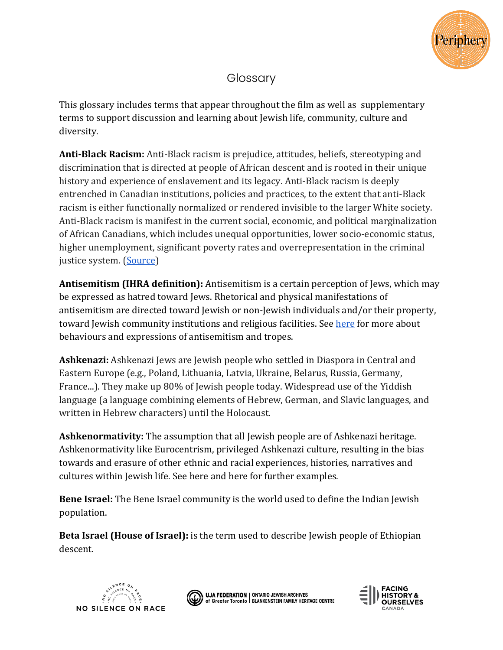

## **Glossary**

This glossary includes terms that appear throughout the film as well as supplementary terms to support discussion and learning about Jewish life, community, culture and diversity.

**Anti-Black Racism:** Anti-Black racism is prejudice, attitudes, beliefs, stereotyping and discrimination that is directed at people of African descent and is rooted in their unique history and experience of enslavement and its legacy. Anti-Black racism is deeply entrenched in Canadian institutions, policies and practices, to the extent that anti-Black racism is either functionally normalized or rendered invisible to the larger White society. Anti-Black racism is manifest in the current social, economic, and political marginalization of African Canadians, which includes unequal opportunities, lower socio-economic status, higher unemployment, significant poverty rates and overrepresentation in the criminal justice system. [\(Source\)](https://www.ontario.ca/document/data-standards-identification-and-monitoring-systemic-racism/glossary)

**Antisemitism (IHRA definition):** Antisemitism is a certain perception of Jews, which may be expressed as hatred toward Jews. Rhetorical and physical manifestations of antisemitism are directed toward Jewish or non-Jewish individuals and/or their property, toward Jewish community institutions and religious facilities. See [here](https://antisemitism.adl.org/) for more about behaviours and expressions of antisemitism and tropes.

**Ashkenazi:** Ashkenazi Jews are Jewish people who settled in Diaspora in Central and Eastern Europe (e.g., Poland, Lithuania, Latvia, Ukraine, Belarus, Russia, Germany, France...). They make up 80% of Jewish people today. Widespread use of the Yiddish language (a language combining elements of Hebrew, German, and Slavic languages, and written in Hebrew characters) until the Holocaust.

**Ashkenormativity:** The assumption that all Jewish people are of Ashkenazi heritage. Ashkenormativity like Eurocentrism, privileged Ashkenazi culture, resulting in the bias towards and erasure of other ethnic and racial experiences, histories, narratives and cultures within Jewish life. See here and here for further examples.

**Bene Israel:** The Bene Israel community is the world used to define the Indian Jewish population.

**Beta Israel (House of Israel):** is the term used to describe Jewish people of Ethiopian descent.





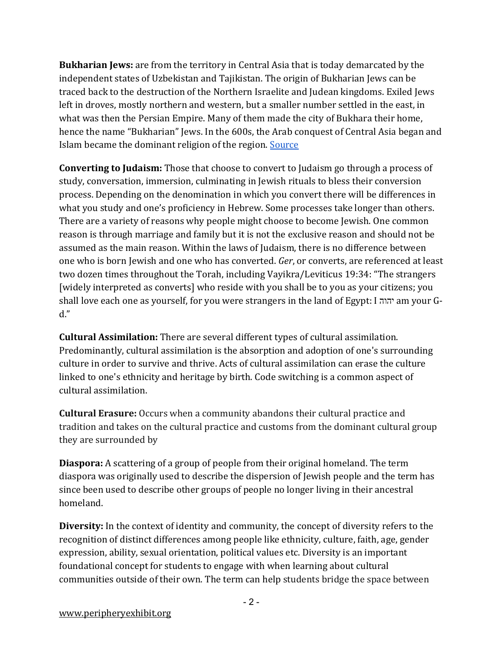**Bukharian Jews:** are from the territory in Central Asia that is today demarcated by the independent states of Uzbekistan and Tajikistan. The origin of Bukharian Jews can be traced back to the destruction of the Northern Israelite and Judean kingdoms. Exiled Jews left in droves, mostly northern and western, but a smaller number settled in the east, in what was then the Persian Empire. Many of them made the city of Bukhara their home, hence the name "Bukharian" Jews. In the 600s, the Arab conquest of Central Asia began and Islam became the dominant religion of the region. [Source](https://ajammc.com/2013/01/21/the-bukharian-jews-the-story-of-a-mizrahi-community/) 

**Converting to Judaism:** Those that choose to convert to Judaism go through a process of study, conversation, immersion, culminating in Jewish rituals to bless their conversion process. Depending on the denomination in which you convert there will be differences in what you study and one's proficiency in Hebrew. Some processes take longer than others. There are a variety of reasons why people might choose to become Jewish. One common reason is through marriage and family but it is not the exclusive reason and should not be assumed as the main reason. Within the laws of Judaism, there is no difference between one who is born Jewish and one who has converted. *Ger*, or converts, are referenced at least two dozen times throughout the Torah, including Vayikra/Leviticus 19:34: "The strangers [widely interpreted as converts] who reside with you shall be to you as your citizens; you shall love each one as yourself, for you were strangers in the land of Egypt: I יהוה am your Gd."

**Cultural Assimilation:** There are several different types of cultural assimilation. Predominantly, cultural assimilation is the absorption and adoption of one's surrounding culture in order to survive and thrive. Acts of cultural assimilation can erase the culture linked to one's ethnicity and heritage by birth. Code switching is a common aspect of cultural assimilation.

**Cultural Erasure:** Occurs when a community abandons their cultural practice and tradition and takes on the cultural practice and customs from the dominant cultural group they are surrounded by

**Diaspora:** A scattering of a group of people from their original homeland. The term diaspora was originally used to describe the dispersion of Jewish people and the term has since been used to describe other groups of people no longer living in their ancestral homeland.

**Diversity:** In the context of identity and community, the concept of diversity refers to the recognition of distinct differences among people like ethnicity, culture, faith, age, gender expression, ability, sexual orientation, political values etc. Diversity is an important foundational concept for students to engage with when learning about cultural communities outside of their own. The term can help students bridge the space between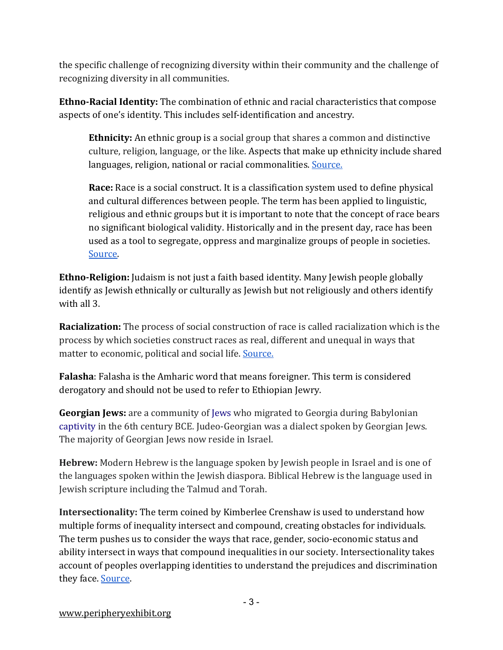the specific challenge of recognizing diversity within their community and the challenge of recognizing diversity in all communities.

**Ethno-Racial Identity:** The combination of ethnic and racial characteristics that compose aspects of one's identity. This includes self-identification and ancestry.

**Ethnicity:** An ethnic group is a social group that shares a common and distinctive culture, religion, language, or the like. Aspects that make up ethnicity include shared languages, religion, national or racial commonalities. Source.

**Race:** Race is a social construct. It is a classification system used to define physical and cultural differences between people. The term has been applied to linguistic, religious and ethnic groups but it is important to note that the concept of race bears no significant biological validity. Historically and in the present day, race has been used as a tool to segregate, oppress and marginalize groups of people in societies. [Source.](https://www.britannica.com/topic/race-human)

**Ethno-Religion:** Judaism is not just a faith based identity. Many Jewish people globally identify as Jewish ethnically or culturally as Jewish but not religiously and others identify with all 3.

**Racialization:** The process of social construction of race is called racialization which is the process by which societies construct races as real, different and unequal in ways that matter to economic, political and social life. Source.

**Falasha**: Falasha is the Amharic word that means foreigner. This term is considered derogatory and should not be used to refer to Ethiopian Jewry.

**Georgian Jews:** are a community of [Jews](https://en.wikipedia.org/wiki/Jews) who migrated to Georgia during Babylonian [captivity](https://en.wikipedia.org/wiki/Babylonian_captivity) in the 6th century BCE. Judeo-Georgian was a dialect spoken by Georgian Jews. The majority of Georgian Jews now reside in Israel.

**Hebrew:** Modern Hebrew is the language spoken by Jewish people in Israel and is one of the languages spoken within the Jewish diaspora. Biblical Hebrew is the language used in Jewish scripture including the Talmud and Torah.

**Intersectionality:** The term coined by Kimberlee Crenshaw is used to understand how multiple forms of inequality intersect and compound, creating obstacles for individuals. The term pushes us to consider the ways that race, gender, socio-economic status and ability intersect in ways that compound inequalities in our society. Intersectionality takes account of peoples overlapping identities to understand the prejudices and discrimination they face. [Source.](https://www.youtube.com/watch?v=ViDtnfQ9FHc)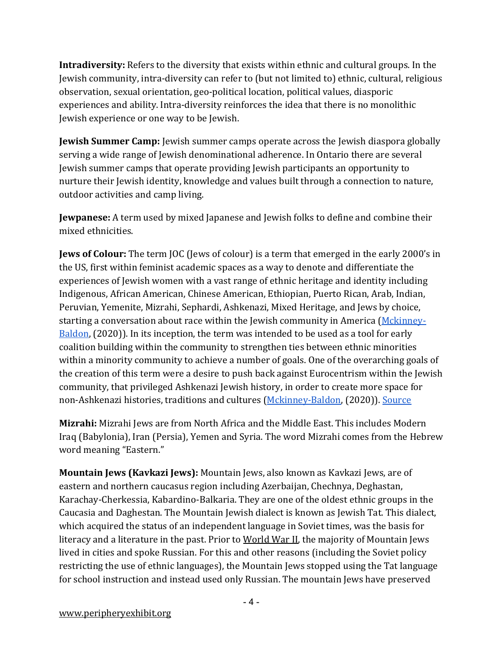**Intradiversity:** Refers to the diversity that exists within ethnic and cultural groups. In the Jewish community, intra-diversity can refer to (but not limited to) ethnic, cultural, religious observation, sexual orientation, geo-political location, political values, diasporic experiences and ability. Intra-diversity reinforces the idea that there is no monolithic Jewish experience or one way to be Jewish.

**Jewish Summer Camp:** Jewish summer camps operate across the Jewish diaspora globally serving a wide range of Jewish denominational adherence. In Ontario there are several Jewish summer camps that operate providing Jewish participants an opportunity to nurture their Jewish identity, knowledge and values built through a connection to nature, outdoor activities and camp living.

**Jewpanese:** A term used by mixed Japanese and Jewish folks to define and combine their mixed ethnicities.

**Jews of Colour:** The term JOC (Jews of colour) is a term that emerged in the early 2000's in the US, first within feminist academic spaces as a way to denote and differentiate the experiences of Jewish women with a vast range of ethnic heritage and identity including Indigenous, African American, Chinese American, Ethiopian, Puerto Rican, Arab, Indian, Peruvian, Yemenite, Mizrahi, Sephardi, Ashkenazi, Mixed Heritage, and Jews by choice, starting a conversation about race within the Jewish community in America [\(Mckinney-](https://www.heyalma.com/i-helped-coin-the-term-jews-of-color-its-time-for-a-history-lesson/)[Baldon,](https://www.heyalma.com/i-helped-coin-the-term-jews-of-color-its-time-for-a-history-lesson/) (2020)). In its inception, the term was intended to be used as a tool for early coalition building within the community to strengthen ties between ethnic minorities within a minority community to achieve a number of goals. One of the overarching goals of the creation of this term were a desire to push back against Eurocentrism within the Jewish community, that privileged Ashkenazi Jewish history, in order to create more space for non-Ashkenazi histories, traditions and cultures [\(Mckinney-Baldon,](https://www.heyalma.com/i-helped-coin-the-term-jews-of-color-its-time-for-a-history-lesson/) (2020)). [Source](https://www.heyalma.com/i-helped-coin-the-term-jews-of-color-its-time-for-a-history-lesson/)

**Mizrahi:** Mizrahi Jews are from North Africa and the Middle East. This includes Modern Iraq (Babylonia), Iran (Persia), Yemen and Syria. The word Mizrahi comes from the Hebrew word meaning "Eastern."

**Mountain Jews (Kavkazi Jews):** Mountain Jews, also known as Kavkazi Jews, are of eastern and northern caucasus region including Azerbaijan, Chechnya, Deghastan, Karachay-Cherkessia, Kabardino-Balkaria. They are one of the oldest ethnic groups in the Caucasia and Daghestan. The Mountain Jewish dialect is known as Jewish Tat. This dialect, which acquired the status of an independent language in Soviet times, was the basis for literacy and a literature in the past. Prior to [World War II,](https://www.encyclopedia.com/history/modern-europe/wars-and-battles/world-war-ii) the majority of Mountain Jews lived in cities and spoke Russian. For this and other reasons (including the Soviet policy restricting the use of ethnic languages), the Mountain Jews stopped using the Tat language for school instruction and instead used only Russian. The mountain Jews have preserved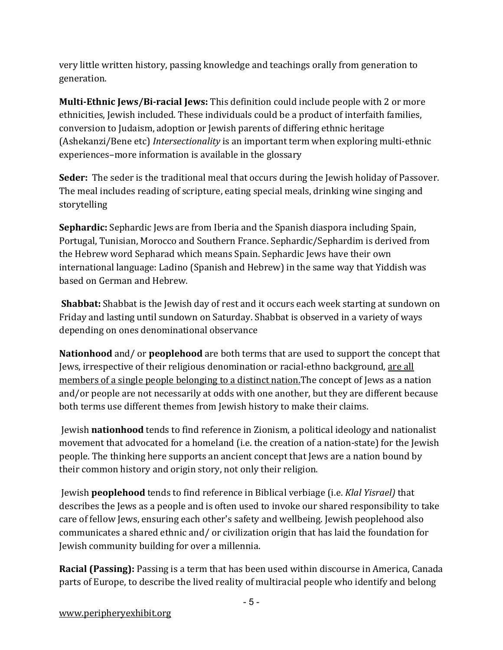very little written history, passing knowledge and teachings orally from generation to generation.

**Multi-Ethnic Jews/Bi-racial Jews:** This definition could include people with 2 or more ethnicities, Jewish included. These individuals could be a product of interfaith families, conversion to Judaism, adoption or Jewish parents of differing ethnic heritage (Ashekanzi/Bene etc) *Intersectionality* is an important term when exploring multi-ethnic experiences–more information is available in the glossary

**Seder:** The seder is the traditional meal that occurs during the Jewish holiday of Passover. The meal includes reading of scripture, eating special meals, drinking wine singing and storytelling

**Sephardic:** Sephardic Jews are from Iberia and the Spanish diaspora including Spain, Portugal, Tunisian, Morocco and Southern France. Sephardic/Sephardim is derived from the Hebrew word Sepharad which means Spain. Sephardic Jews have their own international language: Ladino (Spanish and Hebrew) in the same way that Yiddish was based on German and Hebrew.

**Shabbat:** Shabbat is the Jewish day of rest and it occurs each week starting at sundown on Friday and lasting until sundown on Saturday. Shabbat is observed in a variety of ways depending on ones denominational observance

**Nationhood** and/ or **peoplehood** are both terms that are used to support the concept that Jews, irrespective of their religious denomination or racial-ethno background, are all members of a single people belonging to a distinct nation.The concept of Jews as a nation and/or people are not necessarily at odds with one another, but they are different because both terms use different themes from Jewish history to make their claims.

Jewish **nationhood** tends to find reference in Zionism, a political ideology and nationalist movement that advocated for a homeland (i.e. the creation of a nation-state) for the Jewish people. The thinking here supports an ancient concept that Jews are a nation bound by their common history and origin story, not only their religion.

Jewish **peoplehood** tends to find reference in Biblical verbiage (i.e. *Klal Yisrael)* that describes the Jews as a people and is often used to invoke our shared responsibility to take care of fellow Jews, ensuring each other's safety and wellbeing. Jewish peoplehood also communicates a shared ethnic and/ or civilization origin that has laid the foundation for Jewish community building for over a millennia.

**Racial (Passing):** Passing is a term that has been used within discourse in America, Canada parts of Europe, to describe the lived reality of multiracial people who identify and belong